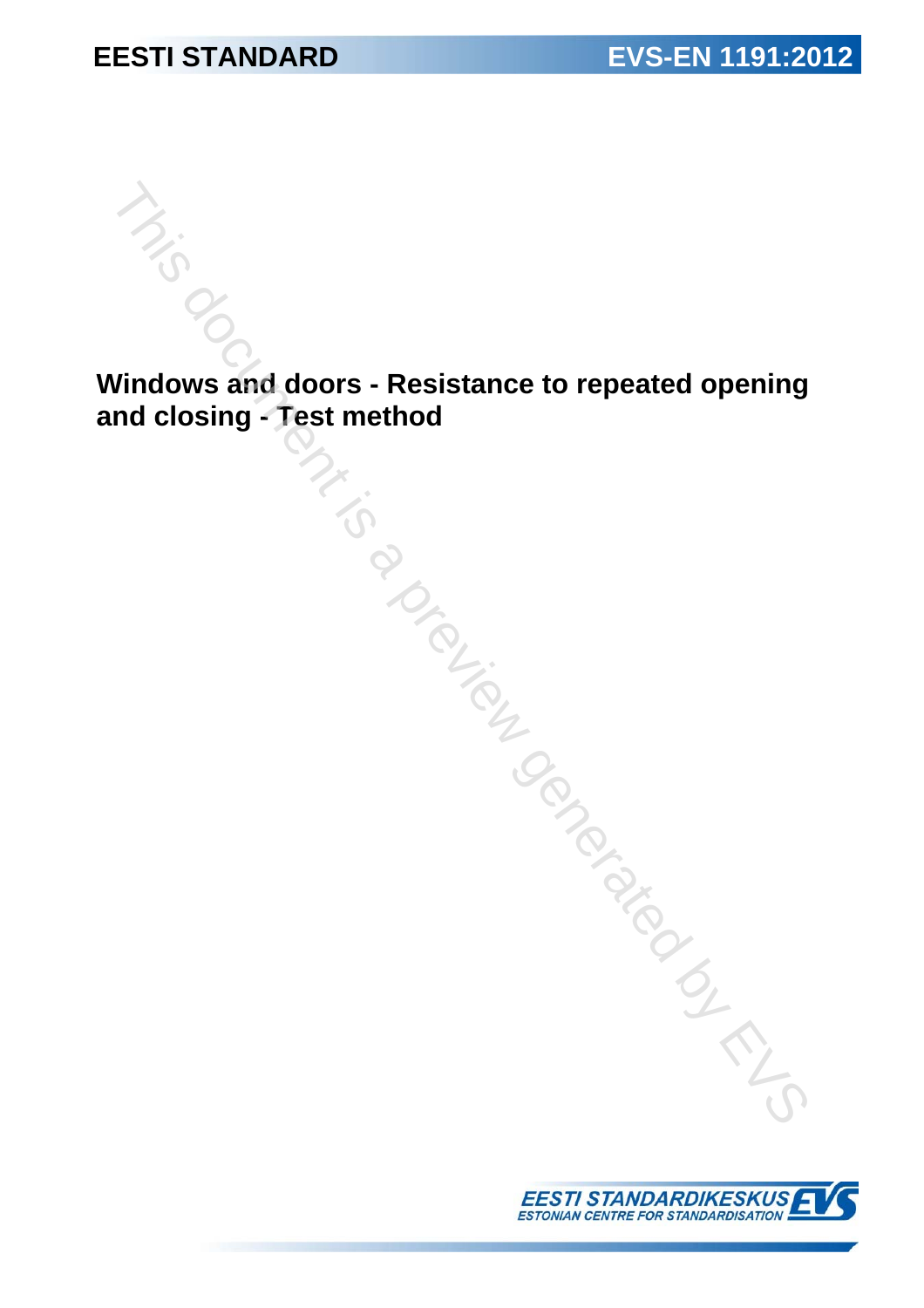**Windows and doors - Resistance to repeated opening and closing - Test method**  indows and doors - Resistance to repeated opening<br>id closing - Test method<br> $\frac{1}{\sqrt{2}}$ <br> $\frac{1}{\sqrt{2}}$ 

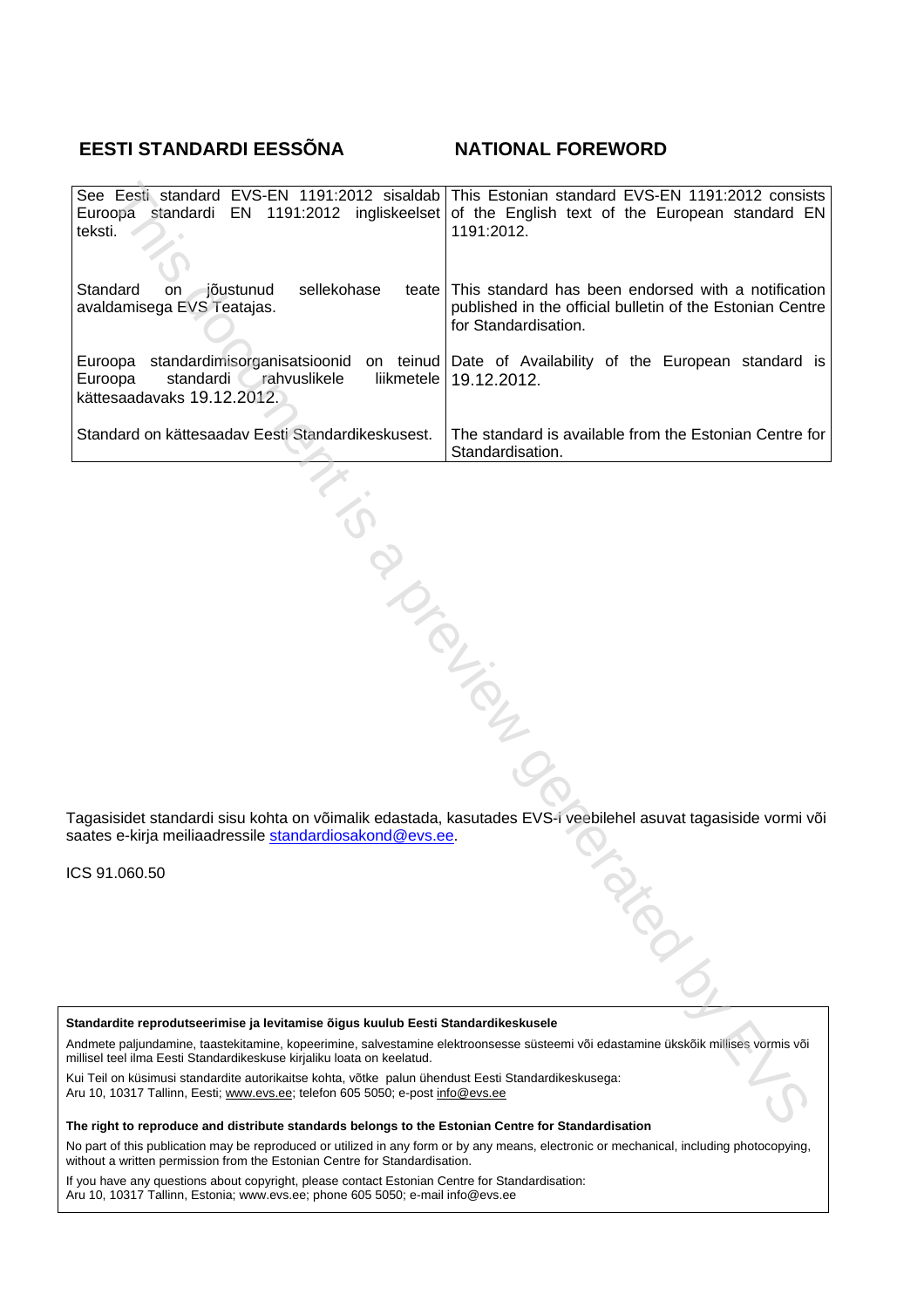### **EESTI STANDARDI EESSÕNA NATIONAL FOREWORD**

| Euroopa standardi EN 1191:2012 ingliskeelset<br>teksti.                                                                                                                                                                                                                                                                                                                                                                                                                                     | See Eesti standard EVS-EN 1191:2012 sisaldab This Estonian standard EVS-EN 1191:2012 consists<br>of the English text of the European standard EN<br>1191:2012. |  |  |  |
|---------------------------------------------------------------------------------------------------------------------------------------------------------------------------------------------------------------------------------------------------------------------------------------------------------------------------------------------------------------------------------------------------------------------------------------------------------------------------------------------|----------------------------------------------------------------------------------------------------------------------------------------------------------------|--|--|--|
| Standard<br>∕jõustunud<br>sellekohase<br>on<br>avaldamisega EVS Teatajas.                                                                                                                                                                                                                                                                                                                                                                                                                   | teate This standard has been endorsed with a notification<br>published in the official bulletin of the Estonian Centre<br>for Standardisation.                 |  |  |  |
| standardimisorganisatsioonid on teinud<br>Euroopa<br>standardi<br>rahvuslikele<br>liikmetele<br>Euroopa<br>kättesaadavaks 19.12.2012.                                                                                                                                                                                                                                                                                                                                                       | Date of Availability of the European standard is<br>19.12.2012.                                                                                                |  |  |  |
| Standard on kättesaadav Eesti Standardikeskusest.                                                                                                                                                                                                                                                                                                                                                                                                                                           | The standard is available from the Estonian Centre for<br>Standardisation.                                                                                     |  |  |  |
| <b>PIDER</b><br>Tagasisidet standardi sisu kohta on võimalik edastada, kasutades EVS-i veebilehel asuvat tagasiside vormi või<br>saates e-kirja meiliaadressile <u>standardiosakond@evs.ee</u> .                                                                                                                                                                                                                                                                                            |                                                                                                                                                                |  |  |  |
| CS 91.060.50                                                                                                                                                                                                                                                                                                                                                                                                                                                                                |                                                                                                                                                                |  |  |  |
|                                                                                                                                                                                                                                                                                                                                                                                                                                                                                             | <b>ASSITE</b>                                                                                                                                                  |  |  |  |
|                                                                                                                                                                                                                                                                                                                                                                                                                                                                                             |                                                                                                                                                                |  |  |  |
| Standardite reprodutseerimise ja levitamise õigus kuulub Eesti Standardikeskusele<br>Andmete paljundamine, taastekitamine, kopeerimine, salvestamine elektroonsesse süsteemi või edastamine ükskõik millises vormis või<br>nillisel teel ilma Eesti Standardikeskuse kirjaliku loata on keelatud.<br>Kui Teil on küsimusi standardite autorikaitse kohta, võtke  palun ühendust Eesti Standardikeskusega:<br>\ru 10, 10317 Tallinn, Eesti; www.evs.ee; telefon 605 5050; e-post info@evs.ee |                                                                                                                                                                |  |  |  |

ICS 91.060.50

**The right to reproduce and distribute standards belongs to the Estonian Centre for Standardisation** 

No part of this publication may be reproduced or utilized in any form or by any means, electronic or mechanical, including photocopying, without a written permission from the Estonian Centre for Standardisation.

If you have any questions about copyright, please contact Estonian Centre for Standardisation: Aru 10, 10317 Tallinn, Estonia; www.evs.ee; phone 605 5050; e-mail info@evs.ee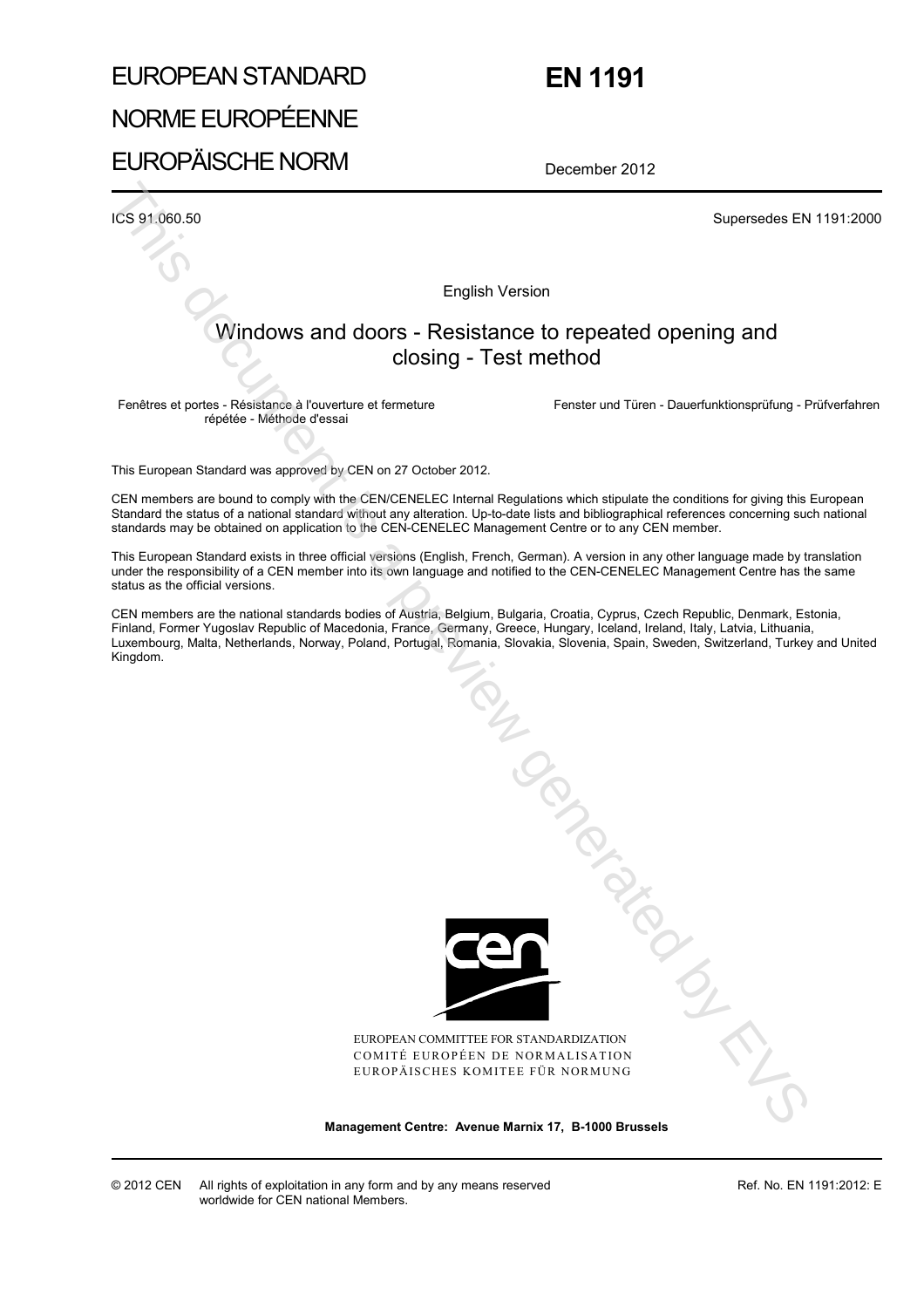# EUROPEAN STANDARD NORME EUROPÉENNE EUROPÄISCHE NORM

## **EN 1191**

December 2012

ICS 91.060.50 Supersedes EN 1191:2000

English Version

### Windows and doors - Resistance to repeated opening and closing - Test method

Fenêtres et portes - Résistance à l'ouverture et fermeture répétée - Méthode d'essai

Fenster und Türen - Dauerfunktionsprüfung - Prüfverfahren

This European Standard was approved by CEN on 27 October 2012.

CEN members are bound to comply with the CEN/CENELEC Internal Regulations which stipulate the conditions for giving this European Standard the status of a national standard without any alteration. Up-to-date lists and bibliographical references concerning such national standards may be obtained on application to the CEN-CENELEC Management Centre or to any CEN member.

This European Standard exists in three official versions (English, French, German). A version in any other language made by translation under the responsibility of a CEN member into its own language and notified to the CEN-CENELEC Management Centre has the same status as the official versions.

CEN members are the national standards bodies of Austria, Belgium, Bulgaria, Croatia, Cyprus, Czech Republic, Denmark, Estonia, Finland, Former Yugoslav Republic of Macedonia, France, Germany, Greece, Hungary, Iceland, Ireland, Italy, Latvia, Lithuania, Luxembourg, Malta, Netherlands, Norway, Poland, Portugal, Romania, Slovakia, Slovenia, Spain, Sweden, Switzerland, Turkey and United Kingdom.



EUROPEAN COMMITTEE FOR STANDARDIZATION COMITÉ EUROPÉEN DE NORMALISATION EUROPÄISCHES KOMITEE FÜR NORMUNG

**Management Centre: Avenue Marnix 17, B-1000 Brussels** 

Ref. No. EN 1191:2012: E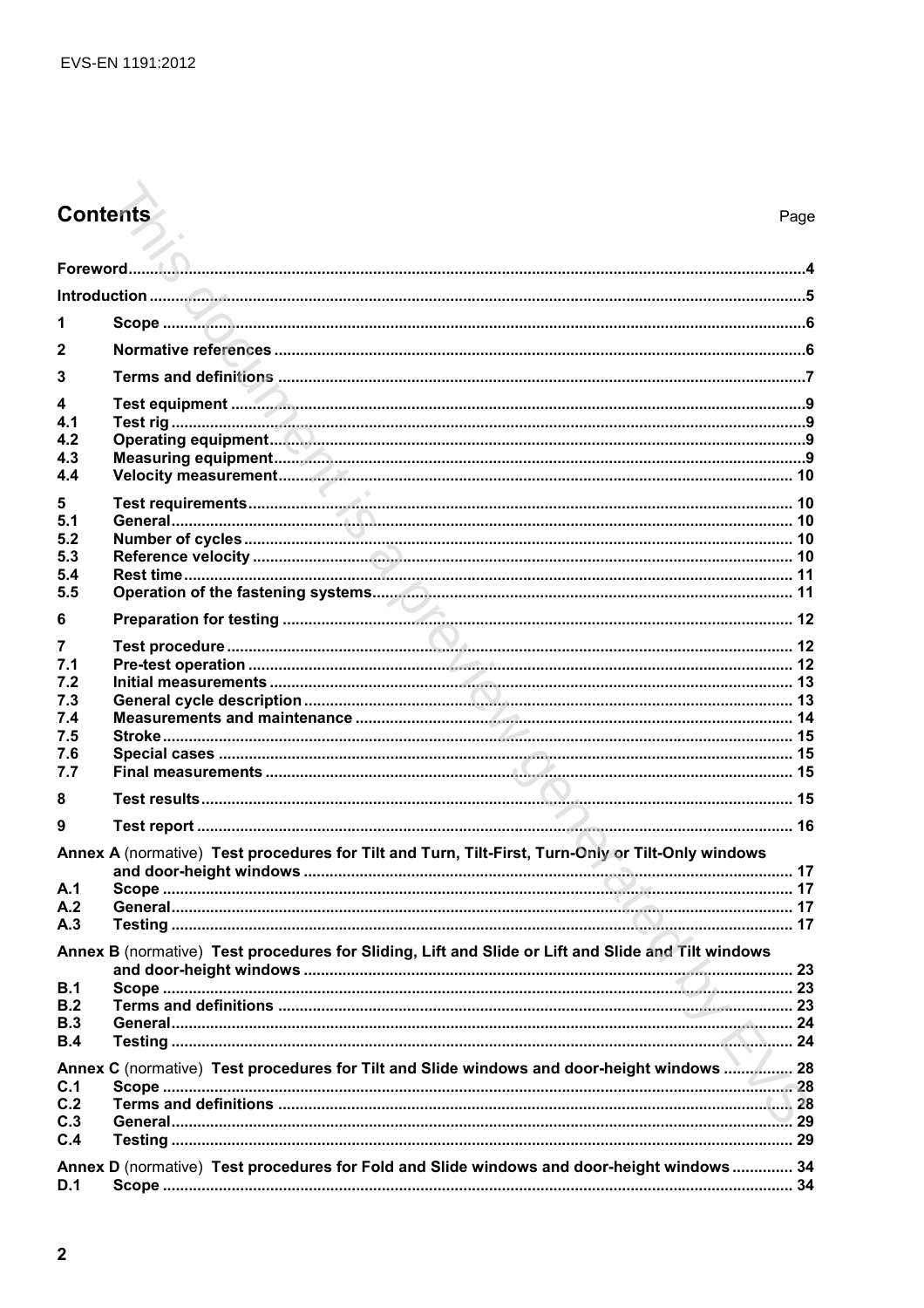# Contents

| 1                                                                                                 |                                                                                                    |  |  |  |
|---------------------------------------------------------------------------------------------------|----------------------------------------------------------------------------------------------------|--|--|--|
| 2                                                                                                 |                                                                                                    |  |  |  |
| 3                                                                                                 |                                                                                                    |  |  |  |
| 4                                                                                                 |                                                                                                    |  |  |  |
| 4.1                                                                                               |                                                                                                    |  |  |  |
| 4.2                                                                                               |                                                                                                    |  |  |  |
| 4.3<br>4.4                                                                                        |                                                                                                    |  |  |  |
|                                                                                                   |                                                                                                    |  |  |  |
| 5                                                                                                 |                                                                                                    |  |  |  |
| 5.1<br>5.2                                                                                        |                                                                                                    |  |  |  |
| 5.3                                                                                               |                                                                                                    |  |  |  |
| 5.4                                                                                               |                                                                                                    |  |  |  |
| 5.5                                                                                               |                                                                                                    |  |  |  |
| 6                                                                                                 |                                                                                                    |  |  |  |
| 7                                                                                                 |                                                                                                    |  |  |  |
| 7.1                                                                                               |                                                                                                    |  |  |  |
| 7.2                                                                                               |                                                                                                    |  |  |  |
| 7.3                                                                                               |                                                                                                    |  |  |  |
| 7.4                                                                                               |                                                                                                    |  |  |  |
| 7.5                                                                                               |                                                                                                    |  |  |  |
| 7.6                                                                                               |                                                                                                    |  |  |  |
| 7.7                                                                                               |                                                                                                    |  |  |  |
| 8                                                                                                 |                                                                                                    |  |  |  |
| 9                                                                                                 |                                                                                                    |  |  |  |
| Annex A (normative) Test procedures for Tilt and Turn, Tilt-First, Turn-Only or Tilt-Only windows |                                                                                                    |  |  |  |
|                                                                                                   |                                                                                                    |  |  |  |
| A.1                                                                                               |                                                                                                    |  |  |  |
| A.2                                                                                               |                                                                                                    |  |  |  |
| A.3                                                                                               |                                                                                                    |  |  |  |
|                                                                                                   | Annex B (normative) Test procedures for Sliding, Lift and Slide or Lift and Slide and Tilt windows |  |  |  |
| B.1                                                                                               |                                                                                                    |  |  |  |
| B.2                                                                                               |                                                                                                    |  |  |  |
| <b>B.3</b>                                                                                        |                                                                                                    |  |  |  |
| B.4                                                                                               |                                                                                                    |  |  |  |
|                                                                                                   | Annex C (normative) Test procedures for Tilt and Slide windows and door-height windows  28         |  |  |  |
| C.1                                                                                               |                                                                                                    |  |  |  |
| C.2                                                                                               |                                                                                                    |  |  |  |
| C.3                                                                                               |                                                                                                    |  |  |  |
| C.4                                                                                               |                                                                                                    |  |  |  |
|                                                                                                   | Annex D (normative) Test procedures for Fold and Slide windows and door-height windows  34         |  |  |  |
| D.1                                                                                               |                                                                                                    |  |  |  |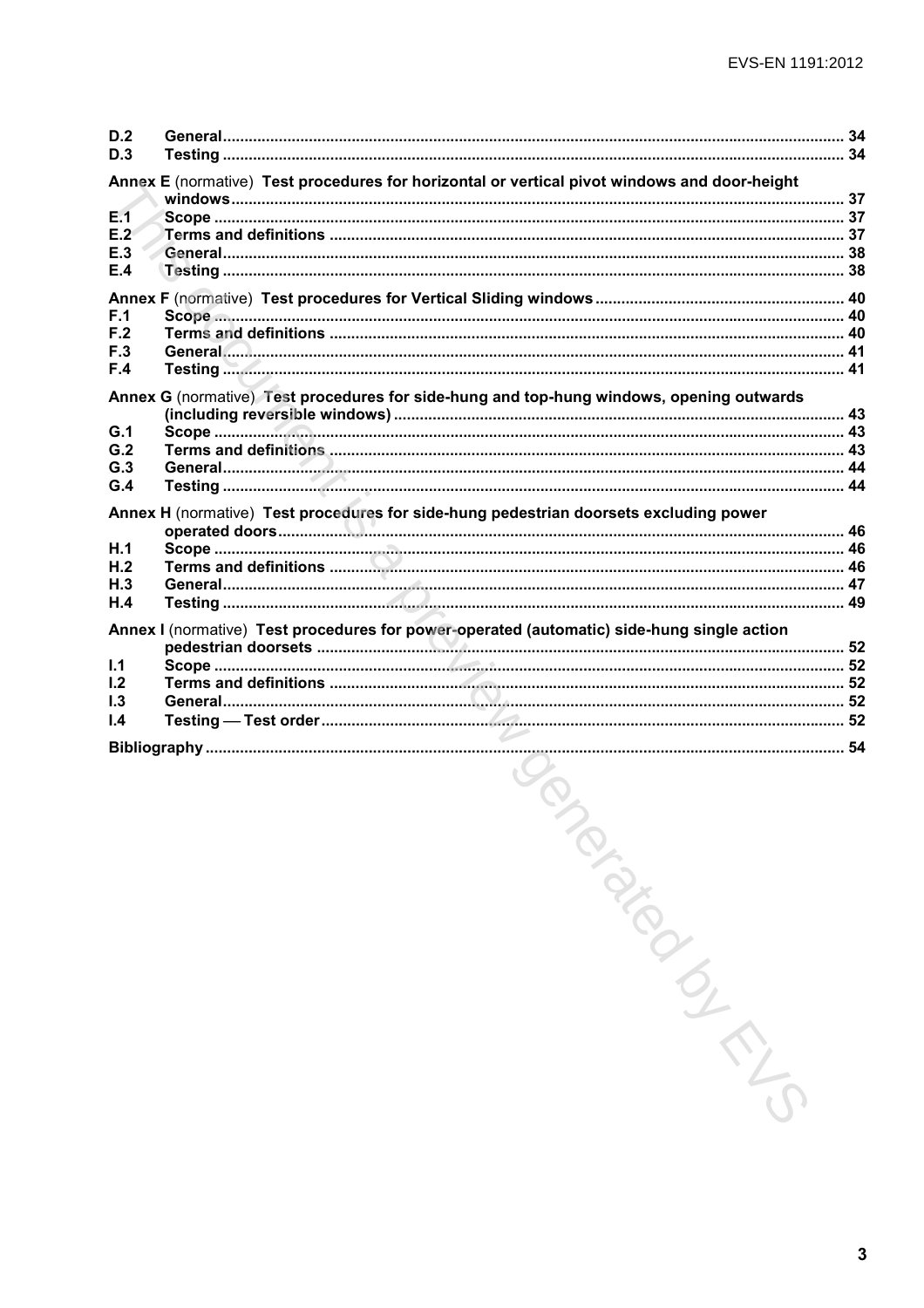| D.2<br>D.3 |                                                                                              |  |
|------------|----------------------------------------------------------------------------------------------|--|
|            | Annex E (normative) Test procedures for horizontal or vertical pivot windows and door-height |  |
| E.1        |                                                                                              |  |
| E.2        |                                                                                              |  |
| E.3        |                                                                                              |  |
| E.4        |                                                                                              |  |
|            |                                                                                              |  |
| F.1<br>F.2 |                                                                                              |  |
| F.3        |                                                                                              |  |
| F.4        |                                                                                              |  |
|            | Annex G (normative) Test procedures for side-hung and top-hung windows, opening outwards     |  |
|            |                                                                                              |  |
| G.1<br>G.2 |                                                                                              |  |
| G.3        |                                                                                              |  |
| G.4        |                                                                                              |  |
|            |                                                                                              |  |
|            | Annex H (normative) Test procedures for side-hung pedestrian doorsets excluding power        |  |
| H.1        |                                                                                              |  |
| H.2        |                                                                                              |  |
| H.3<br>H.4 |                                                                                              |  |
|            |                                                                                              |  |
|            | Annex I (normative) Test procedures for power-operated (automatic) side-hung single action   |  |
|            |                                                                                              |  |
| 1.1<br>1.2 |                                                                                              |  |
| 1.3        |                                                                                              |  |
| 1.4        |                                                                                              |  |
|            |                                                                                              |  |
|            |                                                                                              |  |
|            | <b>SON</b><br>TON BIROKS                                                                     |  |
|            |                                                                                              |  |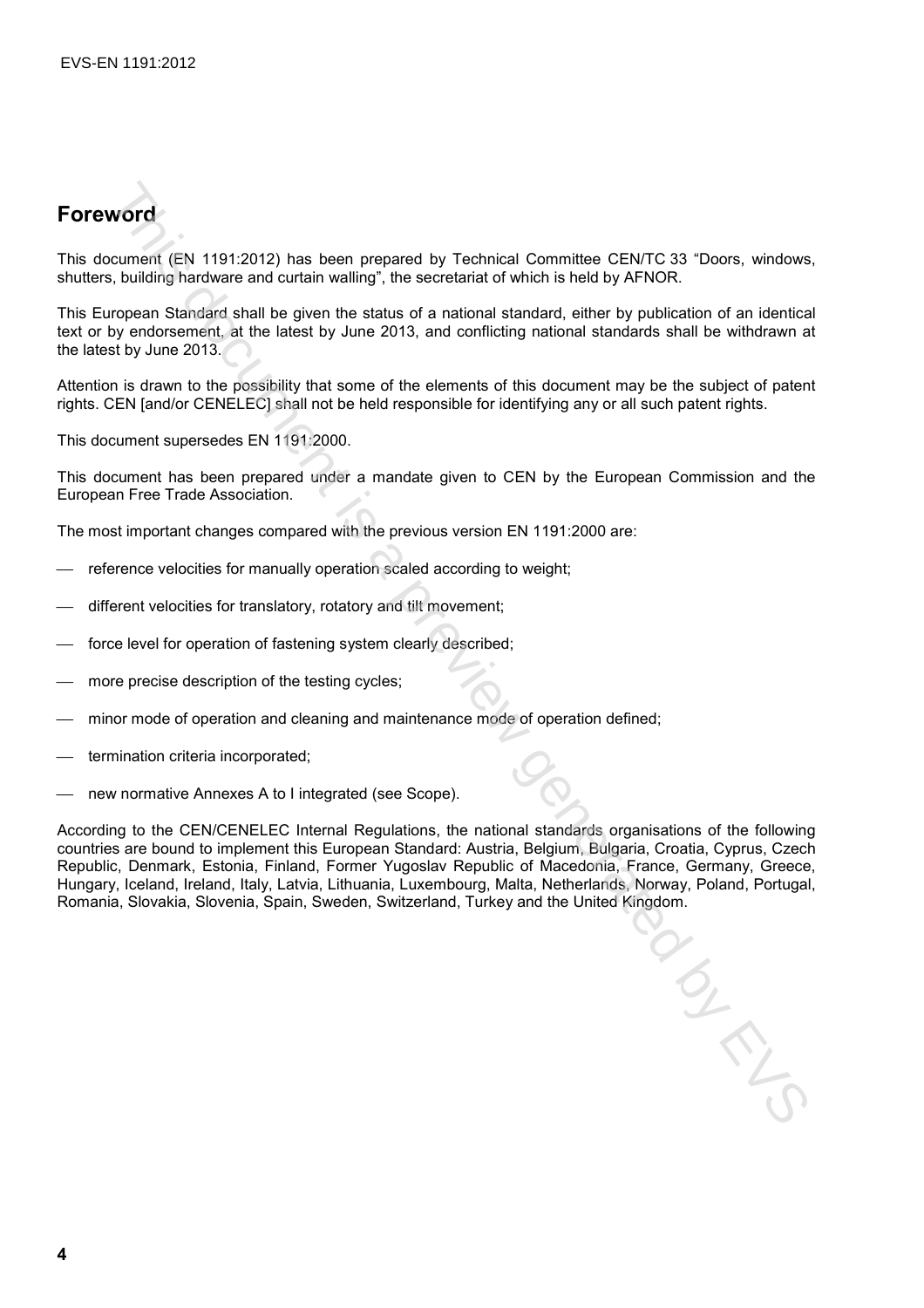## **Foreword**

This document (EN 1191:2012) has been prepared by Technical Committee CEN/TC 33 "Doors, windows, shutters, building hardware and curtain walling", the secretariat of which is held by AFNOR.

This European Standard shall be given the status of a national standard, either by publication of an identical text or by endorsement, at the latest by June 2013, and conflicting national standards shall be withdrawn at the latest by June 2013.

Attention is drawn to the possibility that some of the elements of this document may be the subject of patent rights. CEN [and/or CENELEC] shall not be held responsible for identifying any or all such patent rights.

This document supersedes EN 1191:2000.

This document has been prepared under a mandate given to CEN by the European Commission and the European Free Trade Association.

The most important changes compared with the previous version EN 1191:2000 are:

- reference velocities for manually operation scaled according to weight;
- different velocities for translatory, rotatory and tilt movement;
- force level for operation of fastening system clearly described;
- more precise description of the testing cycles;
- minor mode of operation and cleaning and maintenance mode of operation defined;
- termination criteria incorporated;
- new normative Annexes A to I integrated (see Scope).

According to the CEN/CENELEC Internal Regulations, the national standards organisations of the following countries are bound to implement this European Standard: Austria, Belgium, Bulgaria, Croatia, Cyprus, Czech Republic, Denmark, Estonia, Finland, Former Yugoslav Republic of Macedonia, France, Germany, Greece, Hungary, Iceland, Ireland, Italy, Latvia, Lithuania, Luxembourg, Malta, Netherlands, Norway, Poland, Portugal, Romania, Slovakia, Slovenia, Spain, Sweden, Switzerland, Turkey and the United Kingdom. **WORT**<br>
Cournels (EN 1191:2012) has been prepared by Technical Committee CENTC 33 "Doors, windows<br>
couples Slandare and borston walling", the secretarial of which is held by AFNOR.<br>
Usualing hardware and borston is a given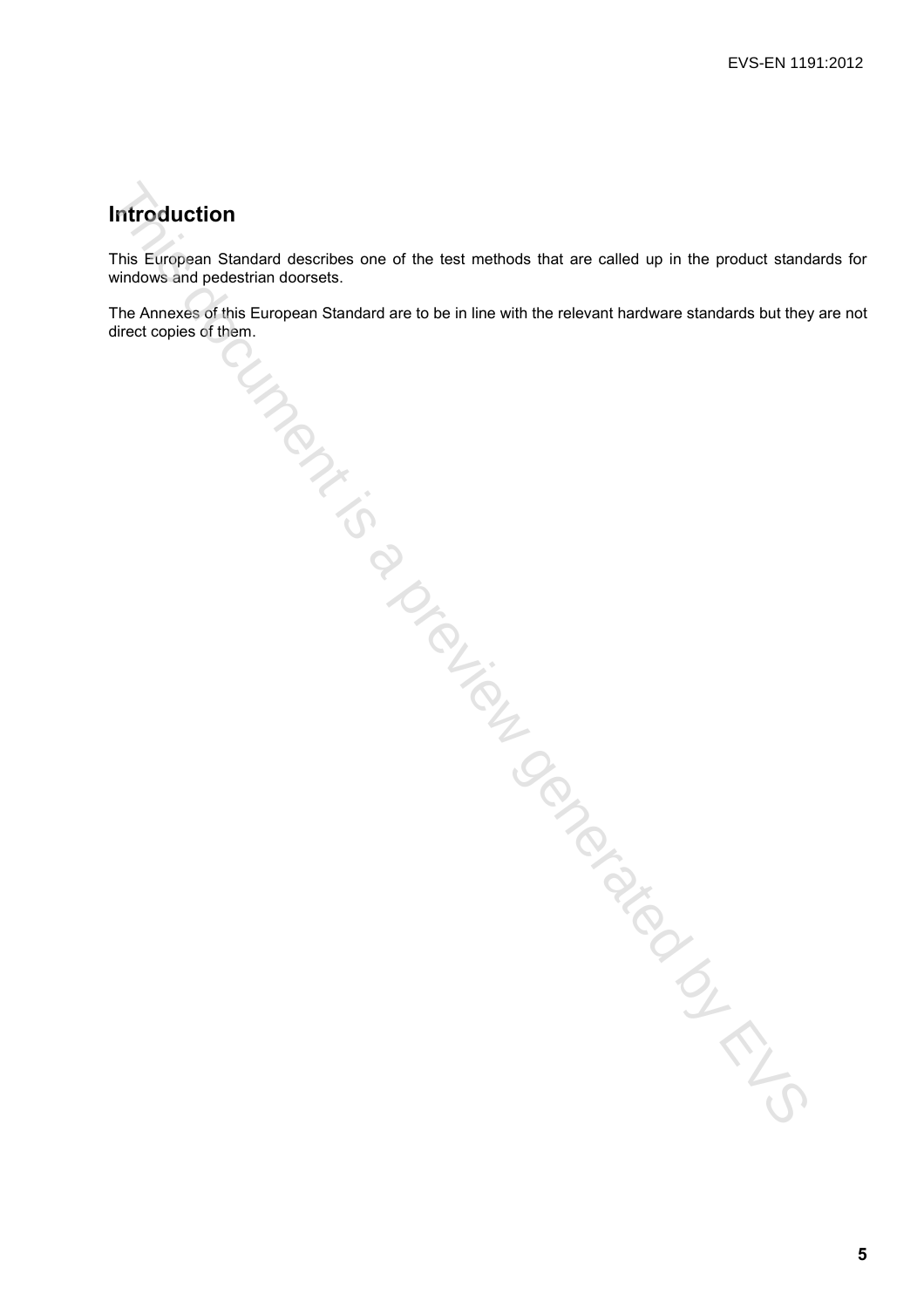### **Introduction**

This European Standard describes one of the test methods that are called up in the product standards for windows and pedestrian doorsets.

The Annexes of this European Standard are to be in line with the relevant hardware standards but they are not direct copies of them. Marchantic Concerner is included by EVS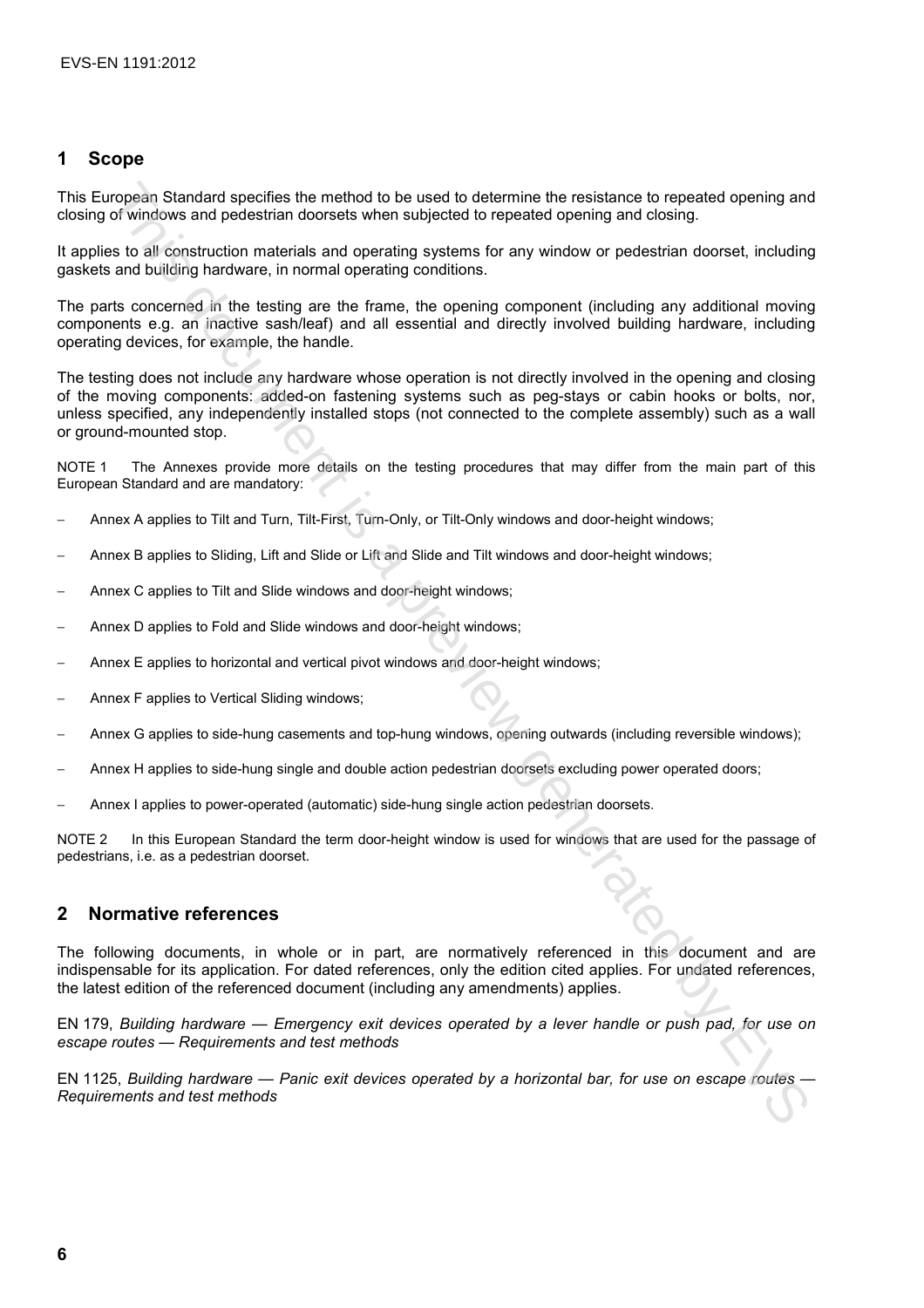#### **1 Scope**

This European Standard specifies the method to be used to determine the resistance to repeated opening and closing of windows and pedestrian doorsets when subjected to repeated opening and closing.

It applies to all construction materials and operating systems for any window or pedestrian doorset, including gaskets and building hardware, in normal operating conditions.

The parts concerned in the testing are the frame, the opening component (including any additional moving components e.g. an inactive sash/leaf) and all essential and directly involved building hardware, including operating devices, for example, the handle.

The testing does not include any hardware whose operation is not directly involved in the opening and closing of the moving components: added-on fastening systems such as peg-stays or cabin hooks or bolts, nor, unless specified, any independently installed stops (not connected to the complete assembly) such as a wall or ground-mounted stop. ropean Standard specifies the method to be used to determine the resistance to repeate of properties the method is a preview of the standard opening and<br>of vindows and pecifistic the method to be used to determine the resi

NOTE 1 The Annexes provide more details on the testing procedures that may differ from the main part of this European Standard and are mandatory:

- − Annex A applies to Tilt and Turn, Tilt-First, Turn-Only, or Tilt-Only windows and door-height windows;
- − Annex B applies to Sliding, Lift and Slide or Lift and Slide and Tilt windows and door-height windows;
- − Annex C applies to Tilt and Slide windows and door-height windows;
- Annex D applies to Fold and Slide windows and door-height windows;
- Annex E applies to horizontal and vertical pivot windows and door-height windows;
- − Annex F applies to Vertical Sliding windows;
- − Annex G applies to side-hung casements and top-hung windows, opening outwards (including reversible windows);
- − Annex H applies to side-hung single and double action pedestrian doorsets excluding power operated doors;
- − Annex I applies to power-operated (automatic) side-hung single action pedestrian doorsets.

NOTE 2 In this European Standard the term door-height window is used for windows that are used for the passage of pedestrians, i.e. as a pedestrian doorset.

#### **2 Normative references**

The following documents, in whole or in part, are normatively referenced in this document and are indispensable for its application. For dated references, only the edition cited applies. For undated references, the latest edition of the referenced document (including any amendments) applies.

EN 179, *Building hardware — Emergency exit devices operated by a lever handle or push pad, for use on escape routes — Requirements and test methods* 

EN 1125, *Building hardware — Panic exit devices operated by a horizontal bar, for use on escape routes — Requirements and test methods*